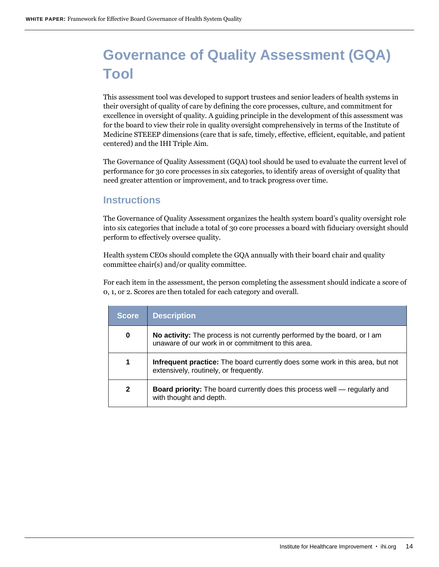# **Governance of Quality Assessment (GQA) Tool**

This assessment tool was developed to support trustees and senior leaders of health systems in their oversight of quality of care by defining the core processes, culture, and commitment for excellence in oversight of quality. A guiding principle in the development of this assessment was for the board to view their role in quality oversight comprehensively in terms of the Institute of Medicine STEEEP dimensions (care that is safe, timely, effective, efficient, equitable, and patient centered) and the IHI Triple Aim.

The Governance of Quality Assessment (GQA) tool should be used to evaluate the current level of performance for 30 core processes in six categories, to identify areas of oversight of quality that need greater attention or improvement, and to track progress over time.

### **Instructions**

The Governance of Quality Assessment organizes the health system board's quality oversight role into six categories that include a total of 30 core processes a board with fiduciary oversight should perform to effectively oversee quality.

Health system CEOs should complete the GQA annually with their board chair and quality committee chair(s) and/or quality committee.

For each item in the assessment, the person completing the assessment should indicate a score of 0, 1, or 2. Scores are then totaled for each category and overall.

| <b>Score</b> | <b>Description</b>                                                                                                                     |
|--------------|----------------------------------------------------------------------------------------------------------------------------------------|
| 0            | <b>No activity:</b> The process is not currently performed by the board, or I am<br>unaware of our work in or commitment to this area. |
| 1            | Infrequent practice: The board currently does some work in this area, but not<br>extensively, routinely, or frequently.                |
| $\mathbf{2}$ | <b>Board priority:</b> The board currently does this process well — regularly and<br>with thought and depth.                           |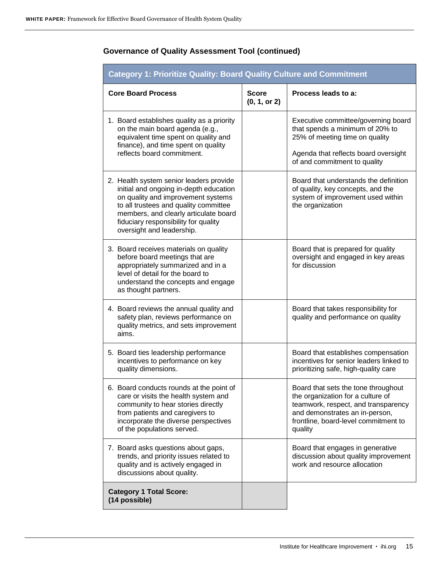| <b>Category 1: Prioritize Quality: Board Quality Culture and Commitment</b>                                                                                                                                                                                                    |                              |                                                                                                                                                                                                      |
|--------------------------------------------------------------------------------------------------------------------------------------------------------------------------------------------------------------------------------------------------------------------------------|------------------------------|------------------------------------------------------------------------------------------------------------------------------------------------------------------------------------------------------|
| <b>Core Board Process</b>                                                                                                                                                                                                                                                      | <b>Score</b><br>(0, 1, or 2) | Process leads to a:                                                                                                                                                                                  |
| 1. Board establishes quality as a priority<br>on the main board agenda (e.g.,<br>equivalent time spent on quality and<br>finance), and time spent on quality<br>reflects board commitment.                                                                                     |                              | Executive committee/governing board<br>that spends a minimum of 20% to<br>25% of meeting time on quality<br>Agenda that reflects board oversight                                                     |
|                                                                                                                                                                                                                                                                                |                              | of and commitment to quality                                                                                                                                                                         |
| 2. Health system senior leaders provide<br>initial and ongoing in-depth education<br>on quality and improvement systems<br>to all trustees and quality committee<br>members, and clearly articulate board<br>fiduciary responsibility for quality<br>oversight and leadership. |                              | Board that understands the definition<br>of quality, key concepts, and the<br>system of improvement used within<br>the organization                                                                  |
| 3. Board receives materials on quality<br>before board meetings that are<br>appropriately summarized and in a<br>level of detail for the board to<br>understand the concepts and engage<br>as thought partners.                                                                |                              | Board that is prepared for quality<br>oversight and engaged in key areas<br>for discussion                                                                                                           |
| 4. Board reviews the annual quality and<br>safety plan, reviews performance on<br>quality metrics, and sets improvement<br>aims.                                                                                                                                               |                              | Board that takes responsibility for<br>quality and performance on quality                                                                                                                            |
| 5. Board ties leadership performance<br>incentives to performance on key<br>quality dimensions.                                                                                                                                                                                |                              | Board that establishes compensation<br>incentives for senior leaders linked to<br>prioritizing safe, high-quality care                                                                               |
| 6. Board conducts rounds at the point of<br>care or visits the health system and<br>community to hear stories directly<br>from patients and caregivers to<br>incorporate the diverse perspectives<br>of the populations served.                                                |                              | Board that sets the tone throughout<br>the organization for a culture of<br>teamwork, respect, and transparency<br>and demonstrates an in-person,<br>frontline, board-level commitment to<br>quality |
| 7. Board asks questions about gaps,<br>trends, and priority issues related to<br>quality and is actively engaged in<br>discussions about quality.                                                                                                                              |                              | Board that engages in generative<br>discussion about quality improvement<br>work and resource allocation                                                                                             |
| <b>Category 1 Total Score:</b><br>(14 possible)                                                                                                                                                                                                                                |                              |                                                                                                                                                                                                      |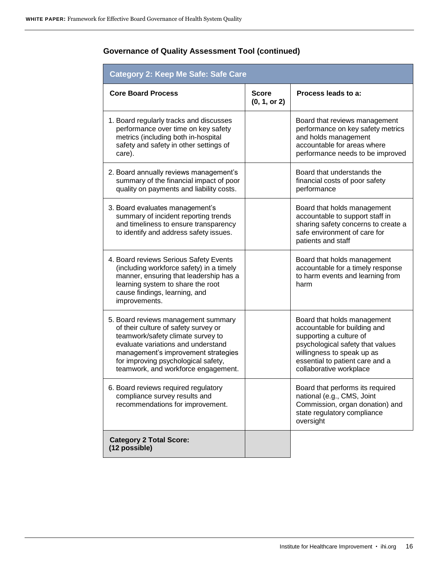| <b>Category 2: Keep Me Safe: Safe Care</b>                                                                                                                                                                                                                                  |                              |                                                                                                                                                                                                                        |
|-----------------------------------------------------------------------------------------------------------------------------------------------------------------------------------------------------------------------------------------------------------------------------|------------------------------|------------------------------------------------------------------------------------------------------------------------------------------------------------------------------------------------------------------------|
| <b>Core Board Process</b>                                                                                                                                                                                                                                                   | <b>Score</b><br>(0, 1, or 2) | Process leads to a:                                                                                                                                                                                                    |
| 1. Board regularly tracks and discusses<br>performance over time on key safety<br>metrics (including both in-hospital<br>safety and safety in other settings of<br>care).                                                                                                   |                              | Board that reviews management<br>performance on key safety metrics<br>and holds management<br>accountable for areas where<br>performance needs to be improved                                                          |
| 2. Board annually reviews management's<br>summary of the financial impact of poor<br>quality on payments and liability costs.                                                                                                                                               |                              | Board that understands the<br>financial costs of poor safety<br>performance                                                                                                                                            |
| 3. Board evaluates management's<br>summary of incident reporting trends<br>and timeliness to ensure transparency<br>to identify and address safety issues.                                                                                                                  |                              | Board that holds management<br>accountable to support staff in<br>sharing safety concerns to create a<br>safe environment of care for<br>patients and staff                                                            |
| 4. Board reviews Serious Safety Events<br>(including workforce safety) in a timely<br>manner, ensuring that leadership has a<br>learning system to share the root<br>cause findings, learning, and<br>improvements.                                                         |                              | Board that holds management<br>accountable for a timely response<br>to harm events and learning from<br>harm                                                                                                           |
| 5. Board reviews management summary<br>of their culture of safety survey or<br>teamwork/safety climate survey to<br>evaluate variations and understand<br>management's improvement strategies<br>for improving psychological safety,<br>teamwork, and workforce engagement. |                              | Board that holds management<br>accountable for building and<br>supporting a culture of<br>psychological safety that values<br>willingness to speak up as<br>essential to patient care and a<br>collaborative workplace |
| 6. Board reviews required regulatory<br>compliance survey results and<br>recommendations for improvement.                                                                                                                                                                   |                              | Board that performs its required<br>national (e.g., CMS, Joint<br>Commission, organ donation) and<br>state regulatory compliance<br>oversight                                                                          |
| <b>Category 2 Total Score:</b><br>(12 possible)                                                                                                                                                                                                                             |                              |                                                                                                                                                                                                                        |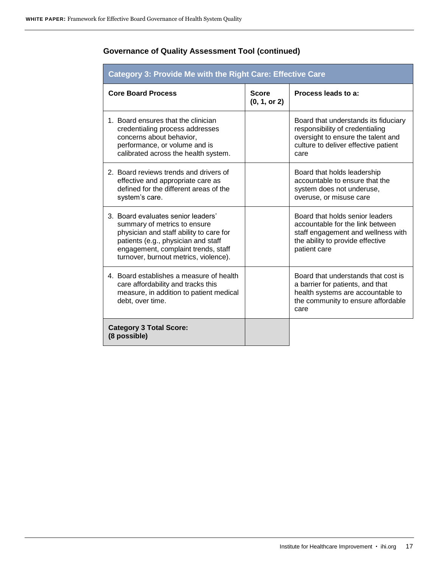| <b>Category 3: Provide Me with the Right Care: Effective Care</b>                                                                                                                                                                    |                              |                                                                                                                                                               |
|--------------------------------------------------------------------------------------------------------------------------------------------------------------------------------------------------------------------------------------|------------------------------|---------------------------------------------------------------------------------------------------------------------------------------------------------------|
| <b>Core Board Process</b>                                                                                                                                                                                                            | <b>Score</b><br>(0, 1, or 2) | Process leads to a:                                                                                                                                           |
| 1. Board ensures that the clinician<br>credentialing process addresses<br>concerns about behavior,<br>performance, or volume and is<br>calibrated across the health system.                                                          |                              | Board that understands its fiduciary<br>responsibility of credentialing<br>oversight to ensure the talent and<br>culture to deliver effective patient<br>care |
| 2. Board reviews trends and drivers of<br>effective and appropriate care as<br>defined for the different areas of the<br>system's care.                                                                                              |                              | Board that holds leadership<br>accountable to ensure that the<br>system does not underuse,<br>overuse, or misuse care                                         |
| 3. Board evaluates senior leaders'<br>summary of metrics to ensure<br>physician and staff ability to care for<br>patients (e.g., physician and staff<br>engagement, complaint trends, staff<br>turnover, burnout metrics, violence). |                              | Board that holds senior leaders<br>accountable for the link between<br>staff engagement and wellness with<br>the ability to provide effective<br>patient care |
| 4. Board establishes a measure of health<br>care affordability and tracks this<br>measure, in addition to patient medical<br>debt, over time.                                                                                        |                              | Board that understands that cost is<br>a barrier for patients, and that<br>health systems are accountable to<br>the community to ensure affordable<br>care    |
| <b>Category 3 Total Score:</b><br>(8 possible)                                                                                                                                                                                       |                              |                                                                                                                                                               |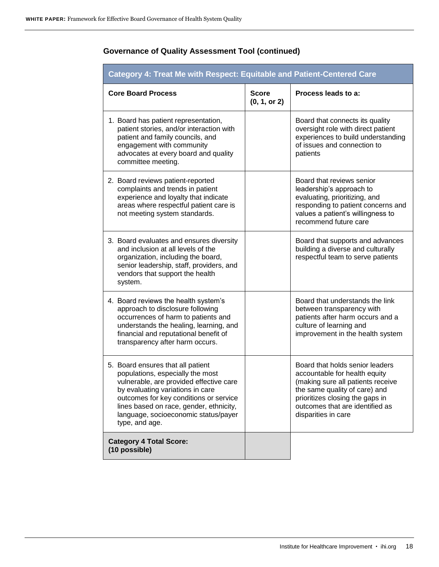| Category 4: Treat Me with Respect: Equitable and Patient-Centered Care                                                                                                                                                                                                                              |                              |                                                                                                                                                                                                                                     |  |
|-----------------------------------------------------------------------------------------------------------------------------------------------------------------------------------------------------------------------------------------------------------------------------------------------------|------------------------------|-------------------------------------------------------------------------------------------------------------------------------------------------------------------------------------------------------------------------------------|--|
| <b>Core Board Process</b>                                                                                                                                                                                                                                                                           | <b>Score</b><br>(0, 1, or 2) | Process leads to a:                                                                                                                                                                                                                 |  |
| 1. Board has patient representation,<br>patient stories, and/or interaction with<br>patient and family councils, and<br>engagement with community<br>advocates at every board and quality<br>committee meeting.                                                                                     |                              | Board that connects its quality<br>oversight role with direct patient<br>experiences to build understanding<br>of issues and connection to<br>patients                                                                              |  |
| 2. Board reviews patient-reported<br>complaints and trends in patient<br>experience and loyalty that indicate<br>areas where respectful patient care is<br>not meeting system standards.                                                                                                            |                              | Board that reviews senior<br>leadership's approach to<br>evaluating, prioritizing, and<br>responding to patient concerns and<br>values a patient's willingness to<br>recommend future care                                          |  |
| 3. Board evaluates and ensures diversity<br>and inclusion at all levels of the<br>organization, including the board,<br>senior leadership, staff, providers, and<br>vendors that support the health<br>system.                                                                                      |                              | Board that supports and advances<br>building a diverse and culturally<br>respectful team to serve patients                                                                                                                          |  |
| 4. Board reviews the health system's<br>approach to disclosure following<br>occurrences of harm to patients and<br>understands the healing, learning, and<br>financial and reputational benefit of<br>transparency after harm occurs.                                                               |                              | Board that understands the link<br>between transparency with<br>patients after harm occurs and a<br>culture of learning and<br>improvement in the health system                                                                     |  |
| 5. Board ensures that all patient<br>populations, especially the most<br>vulnerable, are provided effective care<br>by evaluating variations in care<br>outcomes for key conditions or service<br>lines based on race, gender, ethnicity,<br>language, socioeconomic status/payer<br>type, and age. |                              | Board that holds senior leaders<br>accountable for health equity<br>(making sure all patients receive<br>the same quality of care) and<br>prioritizes closing the gaps in<br>outcomes that are identified as<br>disparities in care |  |
| <b>Category 4 Total Score:</b><br>(10 possible)                                                                                                                                                                                                                                                     |                              |                                                                                                                                                                                                                                     |  |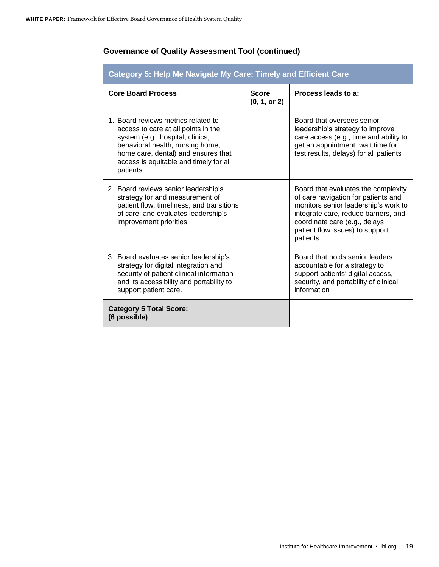| <b>Category 5: Help Me Navigate My Care: Timely and Efficient Care</b>                                                                                                                                                                           |                              |                                                                                                                                                                                                                                             |
|--------------------------------------------------------------------------------------------------------------------------------------------------------------------------------------------------------------------------------------------------|------------------------------|---------------------------------------------------------------------------------------------------------------------------------------------------------------------------------------------------------------------------------------------|
| <b>Core Board Process</b>                                                                                                                                                                                                                        | <b>Score</b><br>(0, 1, or 2) | Process leads to a:                                                                                                                                                                                                                         |
| 1. Board reviews metrics related to<br>access to care at all points in the<br>system (e.g., hospital, clinics,<br>behavioral health, nursing home,<br>home care, dental) and ensures that<br>access is equitable and timely for all<br>patients. |                              | Board that oversees senior<br>leadership's strategy to improve<br>care access (e.g., time and ability to<br>get an appointment, wait time for<br>test results, delays) for all patients                                                     |
| 2. Board reviews senior leadership's<br>strategy for and measurement of<br>patient flow, timeliness, and transitions<br>of care, and evaluates leadership's<br>improvement priorities.                                                           |                              | Board that evaluates the complexity<br>of care navigation for patients and<br>monitors senior leadership's work to<br>integrate care, reduce barriers, and<br>coordinate care (e.g., delays,<br>patient flow issues) to support<br>patients |
| 3. Board evaluates senior leadership's<br>strategy for digital integration and<br>security of patient clinical information<br>and its accessibility and portability to<br>support patient care.                                                  |                              | Board that holds senior leaders<br>accountable for a strategy to<br>support patients' digital access,<br>security, and portability of clinical<br>information                                                                               |
| <b>Category 5 Total Score:</b><br>(6 possible)                                                                                                                                                                                                   |                              |                                                                                                                                                                                                                                             |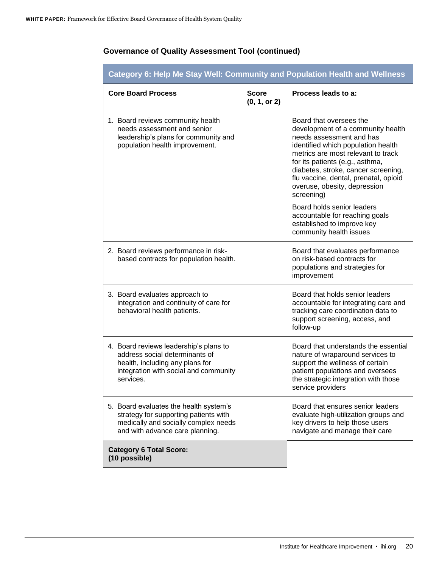| Category 6: Help Me Stay Well: Community and Population Health and Wellness                                                                                       |                              |                                                                                                                                                                                                                                                                                                                                       |
|-------------------------------------------------------------------------------------------------------------------------------------------------------------------|------------------------------|---------------------------------------------------------------------------------------------------------------------------------------------------------------------------------------------------------------------------------------------------------------------------------------------------------------------------------------|
| <b>Core Board Process</b>                                                                                                                                         | <b>Score</b><br>(0, 1, or 2) | Process leads to a:                                                                                                                                                                                                                                                                                                                   |
| 1. Board reviews community health<br>needs assessment and senior<br>leadership's plans for community and<br>population health improvement.                        |                              | Board that oversees the<br>development of a community health<br>needs assessment and has<br>identified which population health<br>metrics are most relevant to track<br>for its patients (e.g., asthma,<br>diabetes, stroke, cancer screening,<br>flu vaccine, dental, prenatal, opioid<br>overuse, obesity, depression<br>screening) |
|                                                                                                                                                                   |                              | Board holds senior leaders<br>accountable for reaching goals<br>established to improve key<br>community health issues                                                                                                                                                                                                                 |
| 2. Board reviews performance in risk-<br>based contracts for population health.                                                                                   |                              | Board that evaluates performance<br>on risk-based contracts for<br>populations and strategies for<br>improvement                                                                                                                                                                                                                      |
| 3. Board evaluates approach to<br>integration and continuity of care for<br>behavioral health patients.                                                           |                              | Board that holds senior leaders<br>accountable for integrating care and<br>tracking care coordination data to<br>support screening, access, and<br>follow-up                                                                                                                                                                          |
| 4. Board reviews leadership's plans to<br>address social determinants of<br>health, including any plans for<br>integration with social and community<br>services. |                              | Board that understands the essential<br>nature of wraparound services to<br>support the wellness of certain<br>patient populations and oversees<br>the strategic integration with those<br>service providers                                                                                                                          |
| 5. Board evaluates the health system's<br>strategy for supporting patients with<br>medically and socially complex needs<br>and with advance care planning.        |                              | Board that ensures senior leaders<br>evaluate high-utilization groups and<br>key drivers to help those users<br>navigate and manage their care                                                                                                                                                                                        |
| <b>Category 6 Total Score:</b><br>(10 possible)                                                                                                                   |                              |                                                                                                                                                                                                                                                                                                                                       |